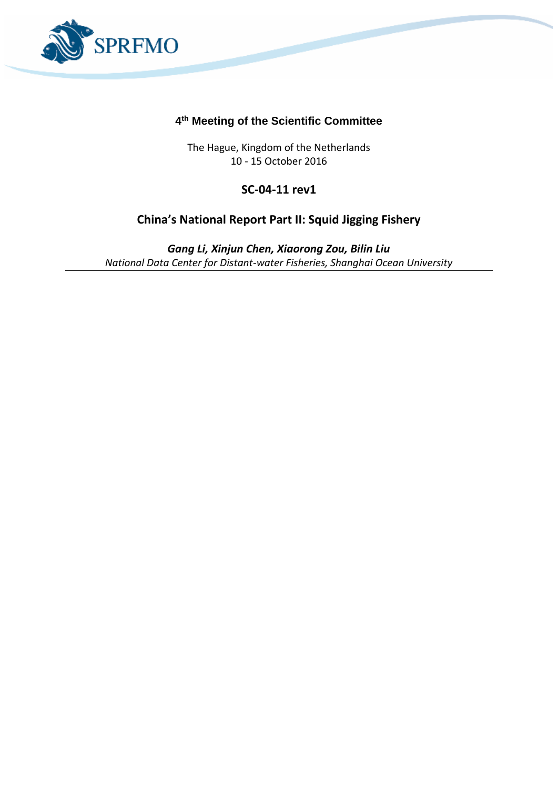

### **4 th Meeting of the Scientific Committee**

The Hague, Kingdom of the Netherlands 10 - 15 October 2016

# **SC-04-11 rev1**

## **China's National Report Part II: Squid Jigging Fishery**

*Gang Li, Xinjun Chen, Xiaorong Zou, Bilin Liu National Data Center for Distant-water Fisheries, Shanghai Ocean University*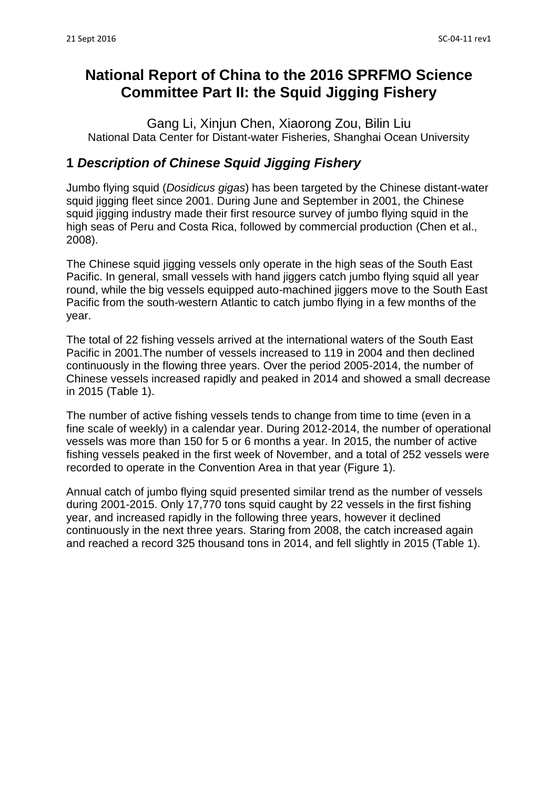# **National Report of China to the 2016 SPRFMO Science Committee Part II: the Squid Jigging Fishery**

Gang Li, Xinjun Chen, Xiaorong Zou, Bilin Liu National Data Center for Distant-water Fisheries, Shanghai Ocean University

# **1** *Description of Chinese Squid Jigging Fishery*

Jumbo flying squid (*Dosidicus gigas*) has been targeted by the Chinese distant-water squid jigging fleet since 2001. During June and September in 2001, the Chinese squid jigging industry made their first resource survey of jumbo flying squid in the high seas of Peru and Costa Rica, followed by commercial production (Chen et al., 2008).

The Chinese squid jigging vessels only operate in the high seas of the South East Pacific. In general, small vessels with hand jiggers catch jumbo flying squid all year round, while the big vessels equipped auto-machined jiggers move to the South East Pacific from the south-western Atlantic to catch jumbo flying in a few months of the year.

The total of 22 fishing vessels arrived at the international waters of the South East Pacific in 2001.The number of vessels increased to 119 in 2004 and then declined continuously in the flowing three years. Over the period 2005-2014, the number of Chinese vessels increased rapidly and peaked in 2014 and showed a small decrease in 2015 (Table 1).

The number of active fishing vessels tends to change from time to time (even in a fine scale of weekly) in a calendar year. During 2012-2014, the number of operational vessels was more than 150 for 5 or 6 months a year. In 2015, the number of active fishing vessels peaked in the first week of November, and a total of 252 vessels were recorded to operate in the Convention Area in that year (Figure 1).

Annual catch of jumbo flying squid presented similar trend as the number of vessels during 2001-2015. Only 17,770 tons squid caught by 22 vessels in the first fishing year, and increased rapidly in the following three years, however it declined continuously in the next three years. Staring from 2008, the catch increased again and reached a record 325 thousand tons in 2014, and fell slightly in 2015 (Table 1).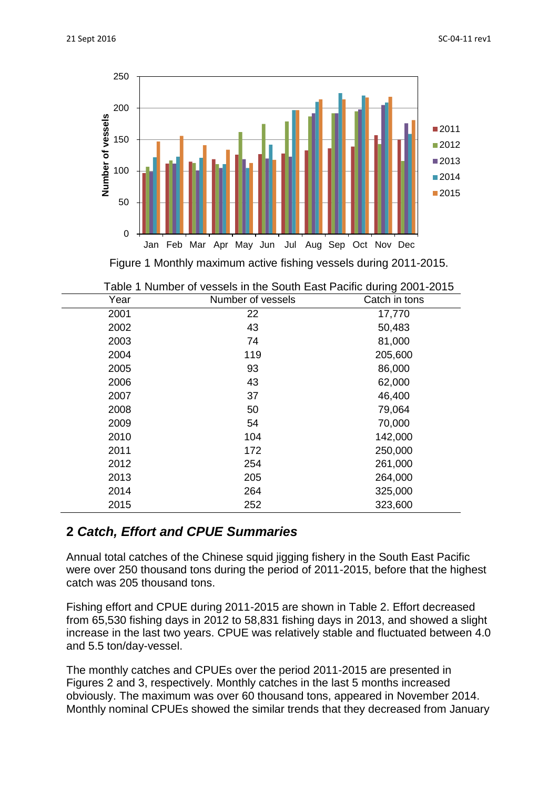

Figure 1 Monthly maximum active fishing vessels during 2011-2015.

|                      | Table 1 Number of vessels in the South East Pacific during 2001-2015 |               |
|----------------------|----------------------------------------------------------------------|---------------|
| $V_{\alpha\alpha r}$ | Number of vocaale                                                    | Cotab in tono |

| Year | Number of vessels | Catch in tons |
|------|-------------------|---------------|
| 2001 | 22                | 17,770        |
| 2002 | 43                | 50,483        |
| 2003 | 74                | 81,000        |
| 2004 | 119               | 205,600       |
| 2005 | 93                | 86,000        |
| 2006 | 43                | 62,000        |
| 2007 | 37                | 46,400        |
| 2008 | 50                | 79,064        |
| 2009 | 54                | 70,000        |
| 2010 | 104               | 142,000       |
| 2011 | 172               | 250,000       |
| 2012 | 254               | 261,000       |
| 2013 | 205               | 264,000       |
| 2014 | 264               | 325,000       |
| 2015 | 252               | 323,600       |

## *Catch, Effort and CPUE Summaries*

Annual total catches of the Chinese squid jigging fishery in the South East Pacific were over 250 thousand tons during the period of 2011-2015, before that the highest catch was 205 thousand tons.

Fishing effort and CPUE during 2011-2015 are shown in Table 2. Effort decreased from 65,530 fishing days in 2012 to 58,831 fishing days in 2013, and showed a slight increase in the last two years. CPUE was relatively stable and fluctuated between 4.0 and 5.5 ton/day-vessel.

The monthly catches and CPUEs over the period 2011-2015 are presented in Figures 2 and 3, respectively. Monthly catches in the last 5 months increased obviously. The maximum was over 60 thousand tons, appeared in November 2014. Monthly nominal CPUEs showed the similar trends that they decreased from January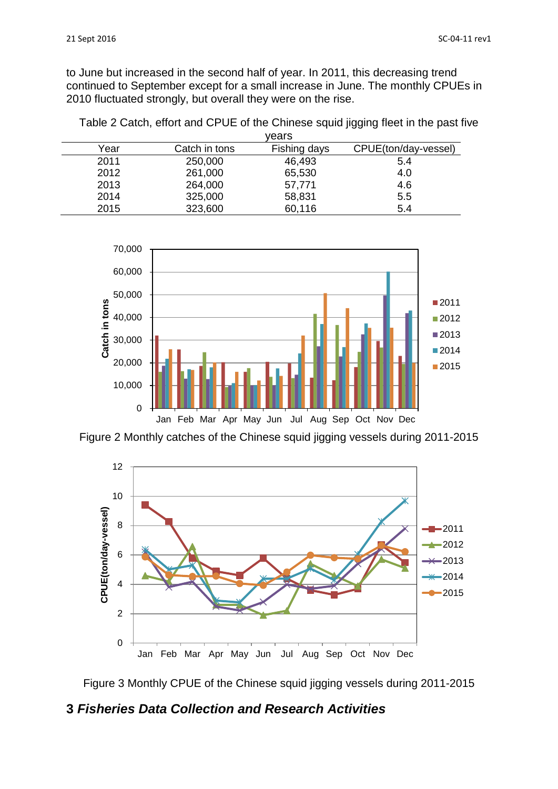to June but increased in the second half of year. In 2011, this decreasing trend continued to September except for a small increase in June. The monthly CPUEs in 2010 fluctuated strongly, but overall they were on the rise.

| vears |               |              |                      |  |  |  |
|-------|---------------|--------------|----------------------|--|--|--|
| Year  | Catch in tons | Fishing days | CPUE(ton/day-vessel) |  |  |  |
| 2011  | 250,000       | 46,493       | 5.4                  |  |  |  |
| 2012  | 261,000       | 65,530       | 4.0                  |  |  |  |
| 2013  | 264,000       | 57,771       | 4.6                  |  |  |  |
| 2014  | 325,000       | 58,831       | 5.5                  |  |  |  |
| 2015  | 323,600       | 60,116       | 5.4                  |  |  |  |

Table 2 Catch, effort and CPUE of the Chinese squid jigging fleet in the past five



Figure 2 Monthly catches of the Chinese squid jigging vessels during 2011-2015



Figure 3 Monthly CPUE of the Chinese squid jigging vessels during 2011-2015

**3** *Fisheries Data Collection and Research Activities*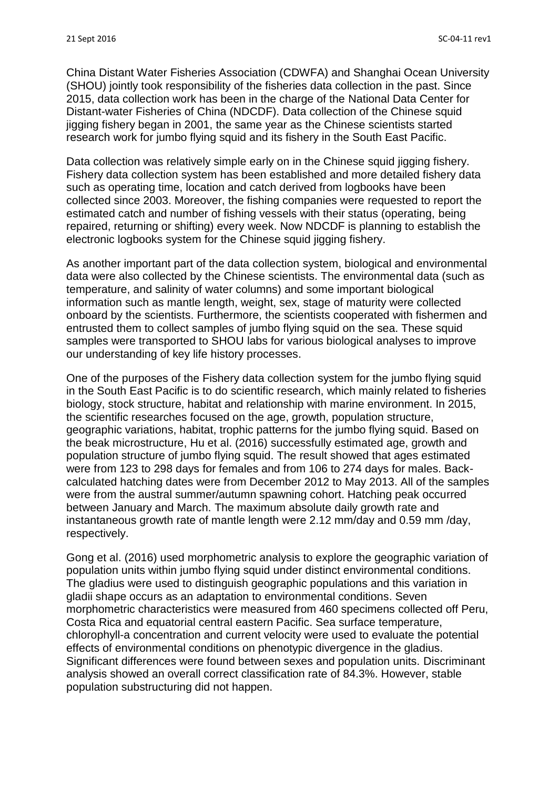China Distant Water Fisheries Association (CDWFA) and Shanghai Ocean University (SHOU) jointly took responsibility of the fisheries data collection in the past. Since 2015, data collection work has been in the charge of the National Data Center for Distant-water Fisheries of China (NDCDF). Data collection of the Chinese squid jigging fishery began in 2001, the same year as the Chinese scientists started research work for jumbo flying squid and its fishery in the South East Pacific.

Data collection was relatively simple early on in the Chinese squid jigging fishery. Fishery data collection system has been established and more detailed fishery data such as operating time, location and catch derived from logbooks have been collected since 2003. Moreover, the fishing companies were requested to report the estimated catch and number of fishing vessels with their status (operating, being repaired, returning or shifting) every week. Now NDCDF is planning to establish the electronic logbooks system for the Chinese squid jigging fishery.

As another important part of the data collection system, biological and environmental data were also collected by the Chinese scientists. The environmental data (such as temperature, and salinity of water columns) and some important biological information such as mantle length, weight, sex, stage of maturity were collected onboard by the scientists. Furthermore, the scientists cooperated with fishermen and entrusted them to collect samples of jumbo flying squid on the sea. These squid samples were transported to SHOU labs for various biological analyses to improve our understanding of key life history processes.

One of the purposes of the Fishery data collection system for the jumbo flying squid in the South East Pacific is to do scientific research, which mainly related to fisheries biology, stock structure, habitat and relationship with marine environment. In 2015, the scientific researches focused on the age, growth, population structure, geographic variations, habitat, trophic patterns for the jumbo flying squid. Based on the beak microstructure, Hu et al. (2016) successfully estimated age, growth and population structure of jumbo flying squid. The result showed that ages estimated were from 123 to 298 days for females and from 106 to 274 days for males. Backcalculated hatching dates were from December 2012 to May 2013. All of the samples were from the austral summer/autumn spawning cohort. Hatching peak occurred between January and March. The maximum absolute daily growth rate and instantaneous growth rate of mantle length were 2.12 mm/day and 0.59 mm /day, respectively.

Gong et al. (2016) used morphometric analysis to explore the geographic variation of population units within jumbo flying squid under distinct environmental conditions. The gladius were used to distinguish geographic populations and this variation in gladii shape occurs as an adaptation to environmental conditions. Seven morphometric characteristics were measured from 460 specimens collected off Peru, Costa Rica and equatorial central eastern Pacific. Sea surface temperature, chlorophyll-a concentration and current velocity were used to evaluate the potential effects of environmental conditions on phenotypic divergence in the gladius. Significant differences were found between sexes and population units. Discriminant analysis showed an overall correct classification rate of 84.3%. However, stable population substructuring did not happen.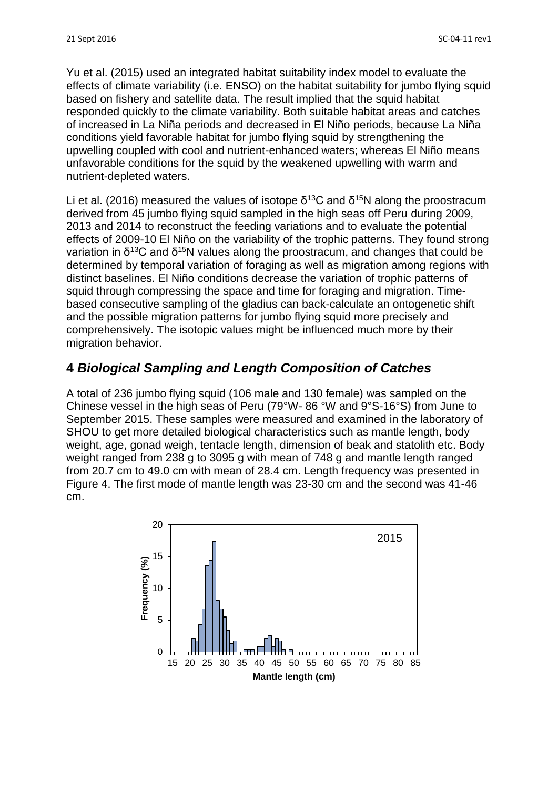Yu et al. (2015) used an integrated habitat suitability index model to evaluate the effects of climate variability (i.e. ENSO) on the habitat suitability for jumbo flying squid based on fishery and satellite data. The result implied that the squid habitat responded quickly to the climate variability. Both suitable habitat areas and catches of increased in La Niña periods and decreased in El Niño periods, because La Niña conditions yield favorable habitat for jumbo flying squid by strengthening the upwelling coupled with cool and nutrient-enhanced waters; whereas El Niño means unfavorable conditions for the squid by the weakened upwelling with warm and nutrient-depleted waters.

Li et al. (2016) measured the values of isotope  $\delta^{13}$ C and  $\delta^{15}$ N along the proostracum derived from 45 jumbo flying squid sampled in the high seas off Peru during 2009, 2013 and 2014 to reconstruct the feeding variations and to evaluate the potential effects of 2009-10 El Niño on the variability of the trophic patterns. They found strong variation in δ<sup>13</sup>C and δ<sup>15</sup>N values along the proostracum, and changes that could be determined by temporal variation of foraging as well as migration among regions with distinct baselines. El Niño conditions decrease the variation of trophic patterns of squid through compressing the space and time for foraging and migration. Timebased consecutive sampling of the gladius can back-calculate an ontogenetic shift and the possible migration patterns for jumbo flying squid more precisely and comprehensively. The isotopic values might be influenced much more by their migration behavior.

#### **4** *Biological Sampling and Length Composition of Catches*

A total of 236 jumbo flying squid (106 male and 130 female) was sampled on the Chinese vessel in the high seas of Peru (79°W- 86 °W and 9°S-16°S) from June to September 2015. These samples were measured and examined in the laboratory of SHOU to get more detailed biological characteristics such as mantle length, body weight, age, gonad weigh, tentacle length, dimension of beak and statolith etc. Body weight ranged from 238 g to 3095 g with mean of 748 g and mantle length ranged from 20.7 cm to 49.0 cm with mean of 28.4 cm. Length frequency was presented in Figure 4. The first mode of mantle length was 23-30 cm and the second was 41-46 cm.

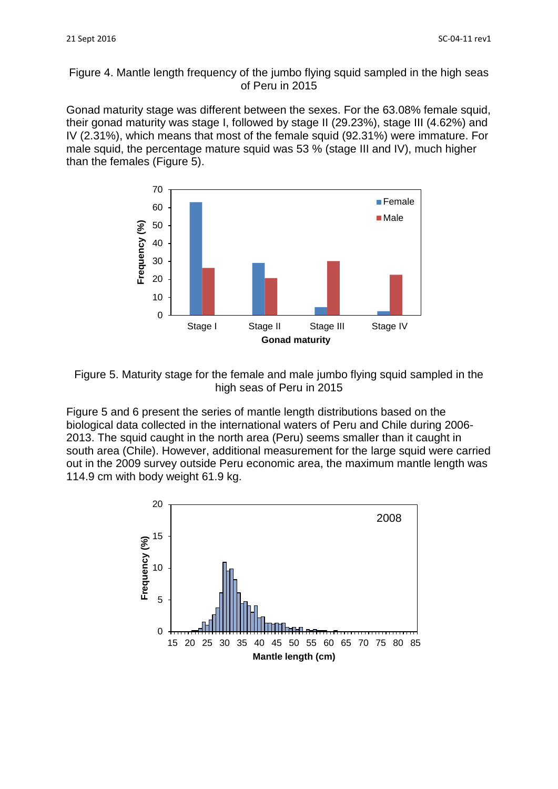Figure 4. Mantle length frequency of the jumbo flying squid sampled in the high seas of Peru in 2015

Gonad maturity stage was different between the sexes. For the 63.08% female squid, their gonad maturity was stage I, followed by stage II (29.23%), stage III (4.62%) and IV (2.31%), which means that most of the female squid (92.31%) were immature. For male squid, the percentage mature squid was 53 % (stage III and IV), much higher than the females (Figure 5).



Figure 5. Maturity stage for the female and male jumbo flying squid sampled in the high seas of Peru in 2015

Figure 5 and 6 present the series of mantle length distributions based on the biological data collected in the international waters of Peru and Chile during 2006- 2013. The squid caught in the north area (Peru) seems smaller than it caught in south area (Chile). However, additional measurement for the large squid were carried out in the 2009 survey outside Peru economic area, the maximum mantle length was 114.9 cm with body weight 61.9 kg.

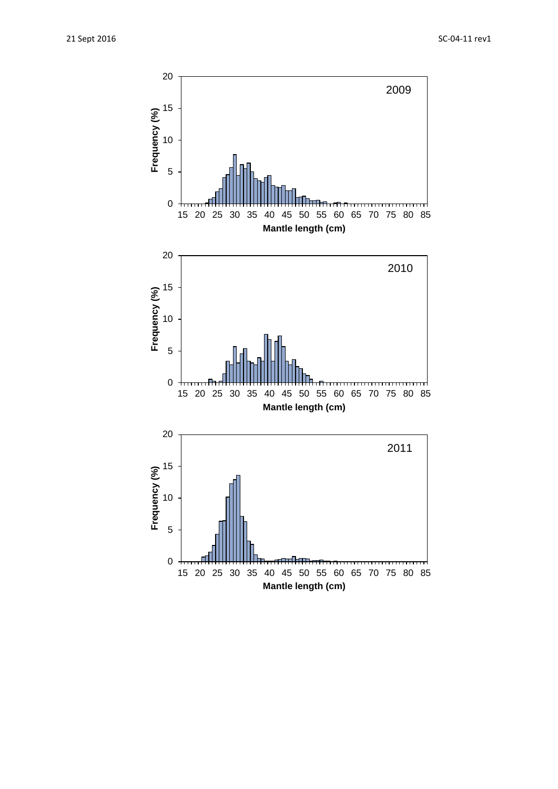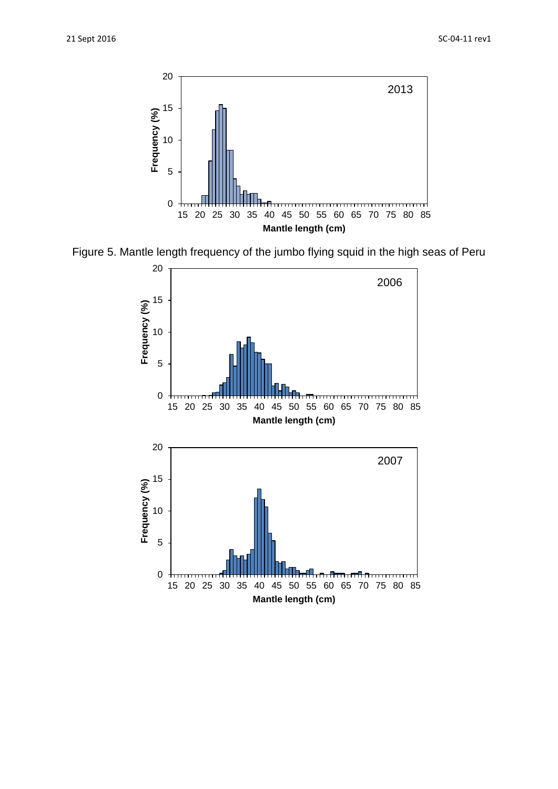

Figure 5. Mantle length frequency of the jumbo flying squid in the high seas of Peru

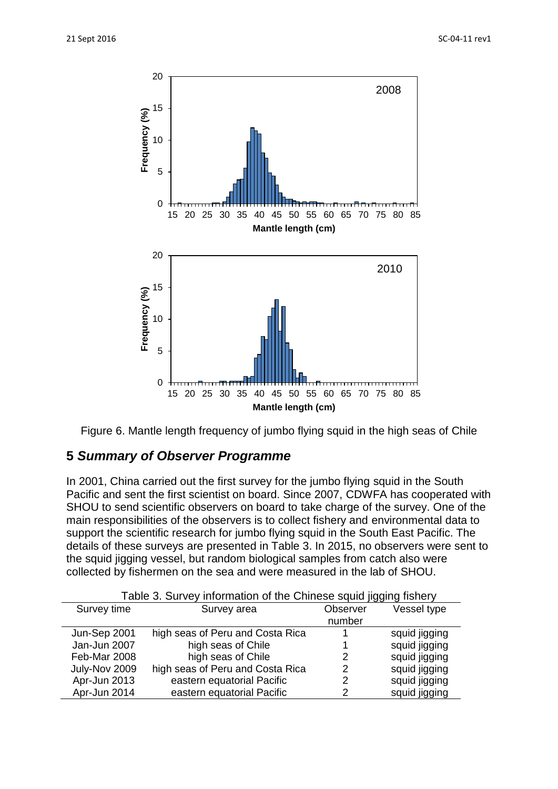



#### **5** *Summary of Observer Programme*

In 2001, China carried out the first survey for the jumbo flying squid in the South Pacific and sent the first scientist on board. Since 2007, CDWFA has cooperated with SHOU to send scientific observers on board to take charge of the survey. One of the main responsibilities of the observers is to collect fishery and environmental data to support the scientific research for jumbo flying squid in the South East Pacific. The details of these surveys are presented in Table 3. In 2015, no observers were sent to the squid jigging vessel, but random biological samples from catch also were collected by fishermen on the sea and were measured in the lab of SHOU.

| Survey time   | Survey area                      | <b>Observer</b> | Vessel type   |  |  |  |
|---------------|----------------------------------|-----------------|---------------|--|--|--|
|               |                                  | number          |               |  |  |  |
| Jun-Sep 2001  | high seas of Peru and Costa Rica |                 | squid jigging |  |  |  |
| Jan-Jun 2007  | high seas of Chile               |                 | squid jigging |  |  |  |
| Feb-Mar 2008  | high seas of Chile               |                 | squid jigging |  |  |  |
| July-Nov 2009 | high seas of Peru and Costa Rica | 2               | squid jigging |  |  |  |
| Apr-Jun 2013  | eastern equatorial Pacific       |                 | squid jigging |  |  |  |
| Apr-Jun 2014  | eastern equatorial Pacific       |                 | squid jigging |  |  |  |

Table 3. Survey information of the Chinese squid jigging fishery